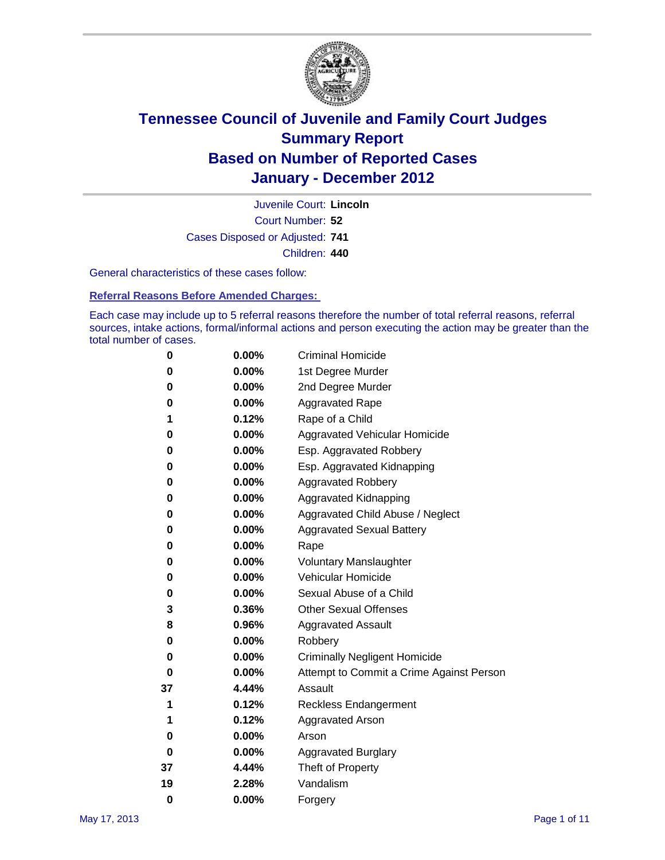

Court Number: **52** Juvenile Court: **Lincoln** Cases Disposed or Adjusted: **741** Children: **440**

General characteristics of these cases follow:

**Referral Reasons Before Amended Charges:** 

Each case may include up to 5 referral reasons therefore the number of total referral reasons, referral sources, intake actions, formal/informal actions and person executing the action may be greater than the total number of cases.

| 0  | 0.00% | <b>Criminal Homicide</b>                 |
|----|-------|------------------------------------------|
| 0  | 0.00% | 1st Degree Murder                        |
| 0  | 0.00% | 2nd Degree Murder                        |
| 0  | 0.00% | <b>Aggravated Rape</b>                   |
| 1  | 0.12% | Rape of a Child                          |
| 0  | 0.00% | Aggravated Vehicular Homicide            |
| 0  | 0.00% | Esp. Aggravated Robbery                  |
| 0  | 0.00% | Esp. Aggravated Kidnapping               |
| 0  | 0.00% | Aggravated Robbery                       |
| 0  | 0.00% | Aggravated Kidnapping                    |
| 0  | 0.00% | Aggravated Child Abuse / Neglect         |
| 0  | 0.00% | <b>Aggravated Sexual Battery</b>         |
| 0  | 0.00% | Rape                                     |
| 0  | 0.00% | <b>Voluntary Manslaughter</b>            |
| 0  | 0.00% | Vehicular Homicide                       |
| 0  | 0.00% | Sexual Abuse of a Child                  |
| 3  | 0.36% | <b>Other Sexual Offenses</b>             |
| 8  | 0.96% | <b>Aggravated Assault</b>                |
| 0  | 0.00% | Robbery                                  |
| 0  | 0.00% | <b>Criminally Negligent Homicide</b>     |
| 0  | 0.00% | Attempt to Commit a Crime Against Person |
| 37 | 4.44% | Assault                                  |
| 1  | 0.12% | <b>Reckless Endangerment</b>             |
| 1  | 0.12% | <b>Aggravated Arson</b>                  |
| 0  | 0.00% | Arson                                    |
| 0  | 0.00% | <b>Aggravated Burglary</b>               |
| 37 | 4.44% | Theft of Property                        |
| 19 | 2.28% | Vandalism                                |
| 0  | 0.00% | Forgery                                  |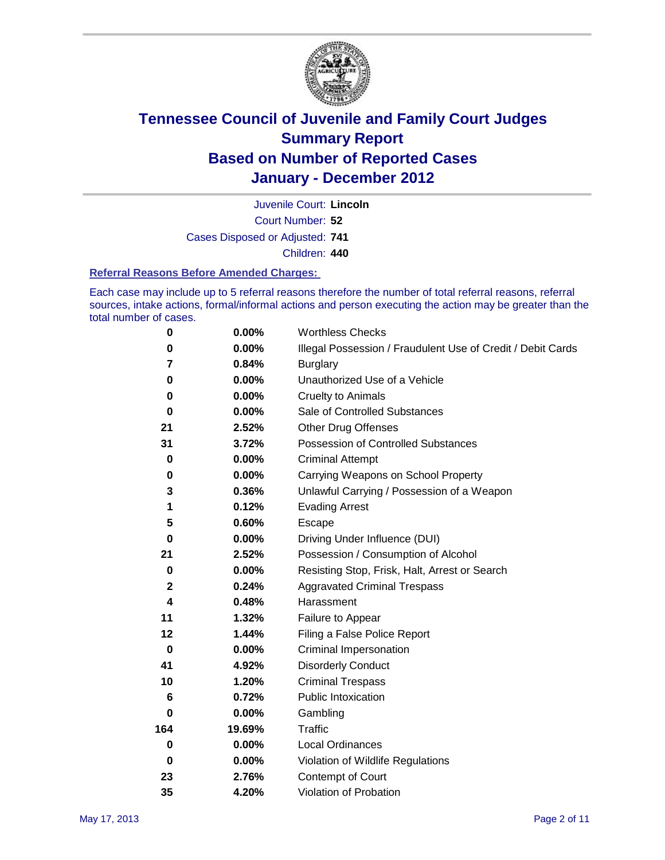

Court Number: **52** Juvenile Court: **Lincoln** Cases Disposed or Adjusted: **741** Children: **440**

#### **Referral Reasons Before Amended Charges:**

Each case may include up to 5 referral reasons therefore the number of total referral reasons, referral sources, intake actions, formal/informal actions and person executing the action may be greater than the total number of cases.

| $\pmb{0}$   | 0.00%    | <b>Worthless Checks</b>                                     |
|-------------|----------|-------------------------------------------------------------|
| 0           | 0.00%    | Illegal Possession / Fraudulent Use of Credit / Debit Cards |
| 7           | 0.84%    | <b>Burglary</b>                                             |
| $\bf{0}$    | $0.00\%$ | Unauthorized Use of a Vehicle                               |
| 0           | $0.00\%$ | <b>Cruelty to Animals</b>                                   |
| $\bf{0}$    | $0.00\%$ | Sale of Controlled Substances                               |
| 21          | 2.52%    | <b>Other Drug Offenses</b>                                  |
| 31          | 3.72%    | Possession of Controlled Substances                         |
| $\mathbf 0$ | $0.00\%$ | <b>Criminal Attempt</b>                                     |
| 0           | 0.00%    | Carrying Weapons on School Property                         |
| 3           | 0.36%    | Unlawful Carrying / Possession of a Weapon                  |
| 1           | 0.12%    | <b>Evading Arrest</b>                                       |
| 5           | 0.60%    | Escape                                                      |
| 0           | 0.00%    | Driving Under Influence (DUI)                               |
| 21          | 2.52%    | Possession / Consumption of Alcohol                         |
| 0           | 0.00%    | Resisting Stop, Frisk, Halt, Arrest or Search               |
| 2           | 0.24%    | <b>Aggravated Criminal Trespass</b>                         |
| 4           | 0.48%    | Harassment                                                  |
| 11          | 1.32%    | Failure to Appear                                           |
| 12          | 1.44%    | Filing a False Police Report                                |
| $\mathbf 0$ | 0.00%    | Criminal Impersonation                                      |
| 41          | 4.92%    | <b>Disorderly Conduct</b>                                   |
| 10          | 1.20%    | <b>Criminal Trespass</b>                                    |
| 6           | 0.72%    | <b>Public Intoxication</b>                                  |
| 0           | $0.00\%$ | Gambling                                                    |
| 164         | 19.69%   | <b>Traffic</b>                                              |
| 0           | $0.00\%$ | Local Ordinances                                            |
| $\mathbf 0$ | $0.00\%$ | Violation of Wildlife Regulations                           |
| 23          | 2.76%    | Contempt of Court                                           |
| 35          | 4.20%    | Violation of Probation                                      |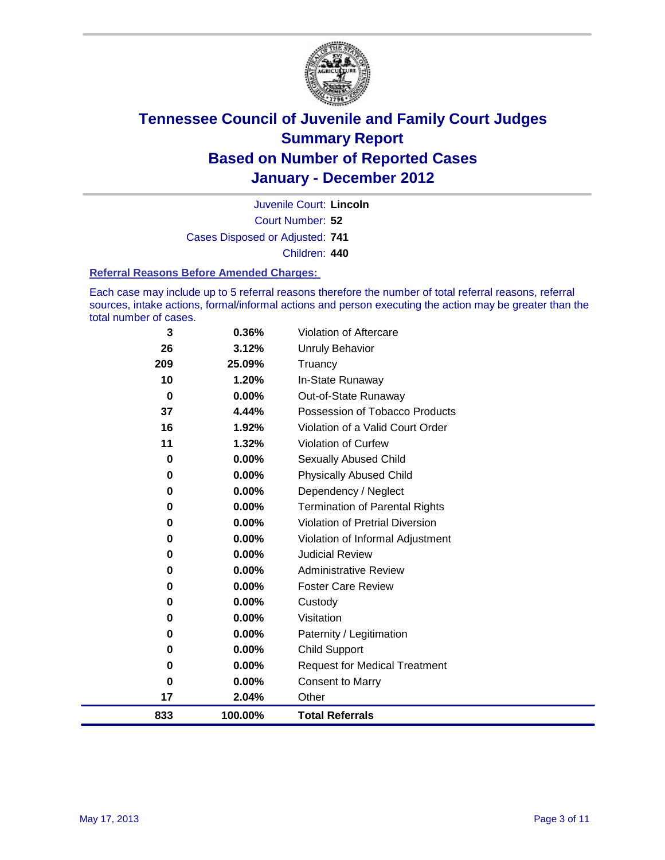

Court Number: **52** Juvenile Court: **Lincoln** Cases Disposed or Adjusted: **741** Children: **440**

#### **Referral Reasons Before Amended Charges:**

Each case may include up to 5 referral reasons therefore the number of total referral reasons, referral sources, intake actions, formal/informal actions and person executing the action may be greater than the total number of cases.

| 3        | 0.36%    | Violation of Aftercare                 |
|----------|----------|----------------------------------------|
| 26       | 3.12%    | <b>Unruly Behavior</b>                 |
| 209      | 25.09%   | Truancy                                |
| 10       | 1.20%    | In-State Runaway                       |
| $\bf{0}$ | 0.00%    | Out-of-State Runaway                   |
| 37       | 4.44%    | Possession of Tobacco Products         |
| 16       | 1.92%    | Violation of a Valid Court Order       |
| 11       | 1.32%    | Violation of Curfew                    |
| 0        | $0.00\%$ | <b>Sexually Abused Child</b>           |
| 0        | 0.00%    | <b>Physically Abused Child</b>         |
| 0        | $0.00\%$ | Dependency / Neglect                   |
| 0        | 0.00%    | Termination of Parental Rights         |
| 0        | $0.00\%$ | <b>Violation of Pretrial Diversion</b> |
| 0        | 0.00%    | Violation of Informal Adjustment       |
| 0        | $0.00\%$ | <b>Judicial Review</b>                 |
| 0        | $0.00\%$ | <b>Administrative Review</b>           |
| 0        | 0.00%    | <b>Foster Care Review</b>              |
| 0        | 0.00%    | Custody                                |
| 0        | 0.00%    | Visitation                             |
| 0        | 0.00%    | Paternity / Legitimation               |
| 0        | 0.00%    | <b>Child Support</b>                   |
| 0        | 0.00%    | <b>Request for Medical Treatment</b>   |
| 0        | 0.00%    | <b>Consent to Marry</b>                |
| 17       | 2.04%    | Other                                  |
| 833      | 100.00%  | <b>Total Referrals</b>                 |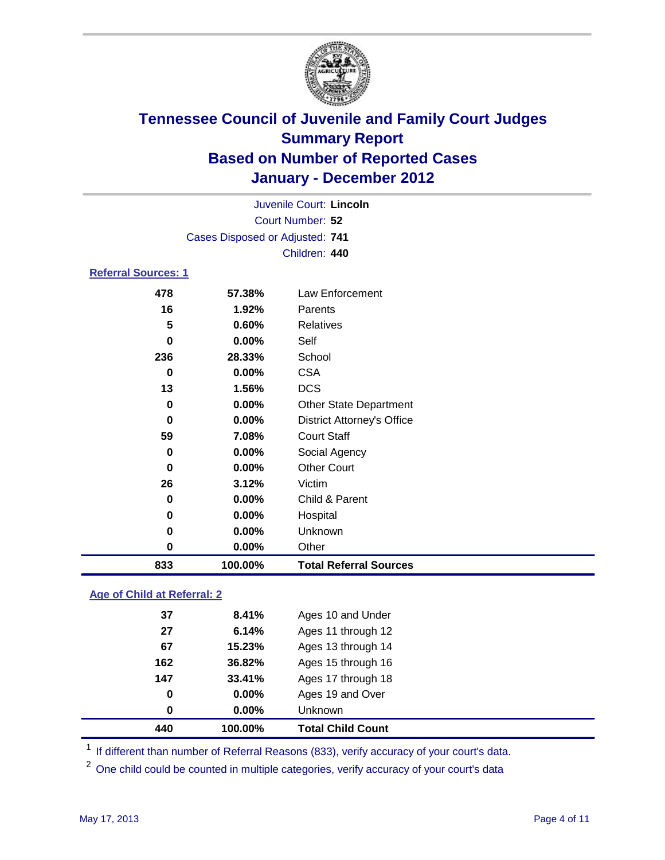

| Juvenile Court: Lincoln         |          |                                   |  |  |  |
|---------------------------------|----------|-----------------------------------|--|--|--|
| Court Number: 52                |          |                                   |  |  |  |
| Cases Disposed or Adjusted: 741 |          |                                   |  |  |  |
|                                 |          | Children: 440                     |  |  |  |
| <b>Referral Sources: 1</b>      |          |                                   |  |  |  |
| 478                             | 57.38%   | <b>Law Enforcement</b>            |  |  |  |
| 16                              | 1.92%    | Parents                           |  |  |  |
| 5                               | 0.60%    | <b>Relatives</b>                  |  |  |  |
| $\mathbf 0$                     | 0.00%    | Self                              |  |  |  |
| 236<br>28.33%                   |          | School                            |  |  |  |
| $\bf{0}$                        | $0.00\%$ | <b>CSA</b>                        |  |  |  |
| 13                              | 1.56%    | <b>DCS</b>                        |  |  |  |
| $\bf{0}$                        | $0.00\%$ | <b>Other State Department</b>     |  |  |  |
| $\bf{0}$                        | $0.00\%$ | <b>District Attorney's Office</b> |  |  |  |
| 59                              | 7.08%    | <b>Court Staff</b>                |  |  |  |
| 0                               | $0.00\%$ | Social Agency                     |  |  |  |
| $0.00\%$<br>0                   |          | <b>Other Court</b>                |  |  |  |
| 26<br>3.12%<br>0.00%<br>0       |          | Victim                            |  |  |  |
|                                 |          | Child & Parent                    |  |  |  |
| 0                               | 0.00%    | Hospital                          |  |  |  |
| $\mathbf 0$                     | 0.00%    | Unknown                           |  |  |  |
| $\mathbf 0$                     | 0.00%    | Other                             |  |  |  |
| 833                             | 100.00%  | <b>Total Referral Sources</b>     |  |  |  |

### **Age of Child at Referral: 2**

| 440 | 100.00%       | <b>Total Child Count</b> |
|-----|---------------|--------------------------|
|     | $0.00\%$<br>0 | <b>Unknown</b>           |
|     | 0.00%<br>0    | Ages 19 and Over         |
| 147 | 33.41%        | Ages 17 through 18       |
| 162 | 36.82%        | Ages 15 through 16       |
| 67  | 15.23%        | Ages 13 through 14       |
| 27  | 6.14%         | Ages 11 through 12       |
| 37  | 8.41%         | Ages 10 and Under        |
|     |               |                          |

<sup>1</sup> If different than number of Referral Reasons (833), verify accuracy of your court's data.

<sup>2</sup> One child could be counted in multiple categories, verify accuracy of your court's data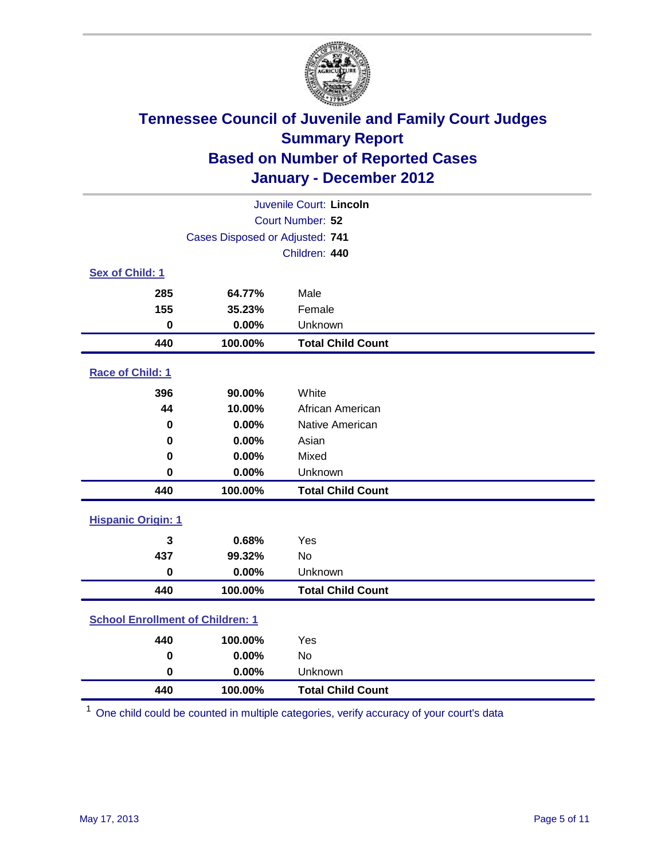

| Juvenile Court: Lincoln                 |                                 |                          |  |  |  |
|-----------------------------------------|---------------------------------|--------------------------|--|--|--|
| Court Number: 52                        |                                 |                          |  |  |  |
|                                         | Cases Disposed or Adjusted: 741 |                          |  |  |  |
|                                         |                                 | Children: 440            |  |  |  |
| Sex of Child: 1                         |                                 |                          |  |  |  |
| 285                                     | 64.77%                          | Male                     |  |  |  |
| 155                                     | 35.23%                          | Female                   |  |  |  |
| $\mathbf 0$                             | 0.00%                           | Unknown                  |  |  |  |
| 440                                     | 100.00%                         | <b>Total Child Count</b> |  |  |  |
| Race of Child: 1                        |                                 |                          |  |  |  |
| 396                                     | 90.00%                          | White                    |  |  |  |
| 44                                      | 10.00%                          | African American         |  |  |  |
| 0                                       | 0.00%                           | Native American          |  |  |  |
| 0                                       | 0.00%                           | Asian                    |  |  |  |
| 0                                       | 0.00%                           | Mixed                    |  |  |  |
| $\mathbf 0$                             | 0.00%                           | Unknown                  |  |  |  |
| 440                                     | 100.00%                         | <b>Total Child Count</b> |  |  |  |
| <b>Hispanic Origin: 1</b>               |                                 |                          |  |  |  |
| 3                                       | 0.68%                           | Yes                      |  |  |  |
| 437                                     | 99.32%                          | No                       |  |  |  |
| $\mathbf 0$                             | 0.00%                           | Unknown                  |  |  |  |
| 440                                     | 100.00%                         | <b>Total Child Count</b> |  |  |  |
| <b>School Enrollment of Children: 1</b> |                                 |                          |  |  |  |
| 440                                     | 100.00%                         | Yes                      |  |  |  |
| $\mathbf 0$                             | 0.00%                           | <b>No</b>                |  |  |  |
| 0                                       | 0.00%                           | Unknown                  |  |  |  |
| 440                                     | 100.00%                         | <b>Total Child Count</b> |  |  |  |

One child could be counted in multiple categories, verify accuracy of your court's data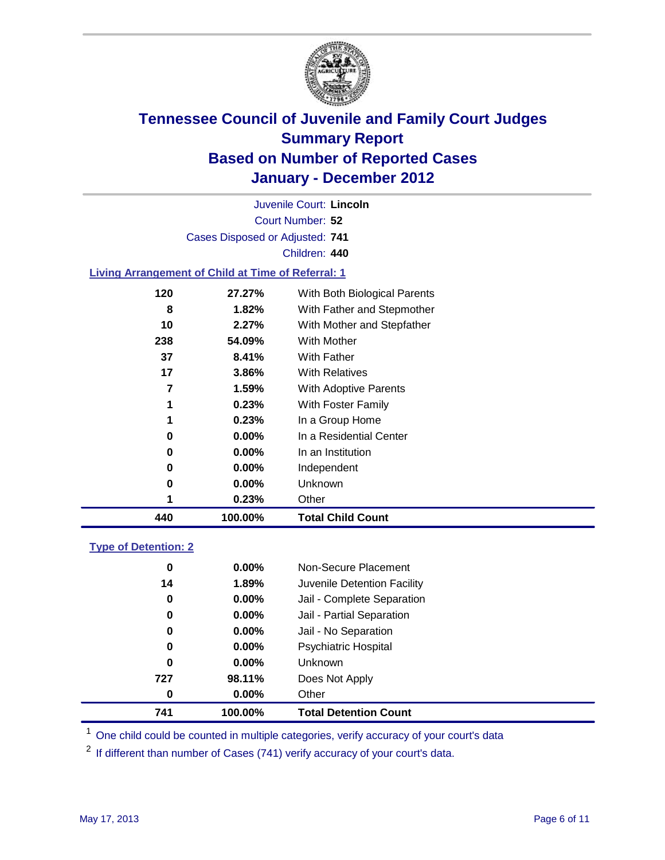

Court Number: **52** Juvenile Court: **Lincoln** Cases Disposed or Adjusted: **741** Children: **440**

### **Living Arrangement of Child at Time of Referral: 1**

| 440 | 100.00%  | <b>Total Child Count</b>     |
|-----|----------|------------------------------|
|     | 0.23%    | Other                        |
| 0   | $0.00\%$ | Unknown                      |
| 0   | $0.00\%$ | Independent                  |
| 0   | $0.00\%$ | In an Institution            |
| 0   | $0.00\%$ | In a Residential Center      |
| 1   | 0.23%    | In a Group Home              |
|     | 0.23%    | With Foster Family           |
| 7   | 1.59%    | With Adoptive Parents        |
| 17  | 3.86%    | <b>With Relatives</b>        |
| 37  | 8.41%    | <b>With Father</b>           |
| 238 | 54.09%   | With Mother                  |
| 10  | 2.27%    | With Mother and Stepfather   |
| 8   | 1.82%    | With Father and Stepmother   |
| 120 | 27.27%   | With Both Biological Parents |

#### **Type of Detention: 2**

| 741      | 100.00%  | <b>Total Detention Count</b> |
|----------|----------|------------------------------|
| 0        | $0.00\%$ | Other                        |
| 727      | 98.11%   | Does Not Apply               |
| 0        | $0.00\%$ | <b>Unknown</b>               |
| 0        | 0.00%    | <b>Psychiatric Hospital</b>  |
| $\bf{0}$ | 0.00%    | Jail - No Separation         |
| 0        | $0.00\%$ | Jail - Partial Separation    |
| 0        | $0.00\%$ | Jail - Complete Separation   |
| 14       | 1.89%    | Juvenile Detention Facility  |
| 0        | $0.00\%$ | Non-Secure Placement         |
|          |          |                              |

<sup>1</sup> One child could be counted in multiple categories, verify accuracy of your court's data

<sup>2</sup> If different than number of Cases (741) verify accuracy of your court's data.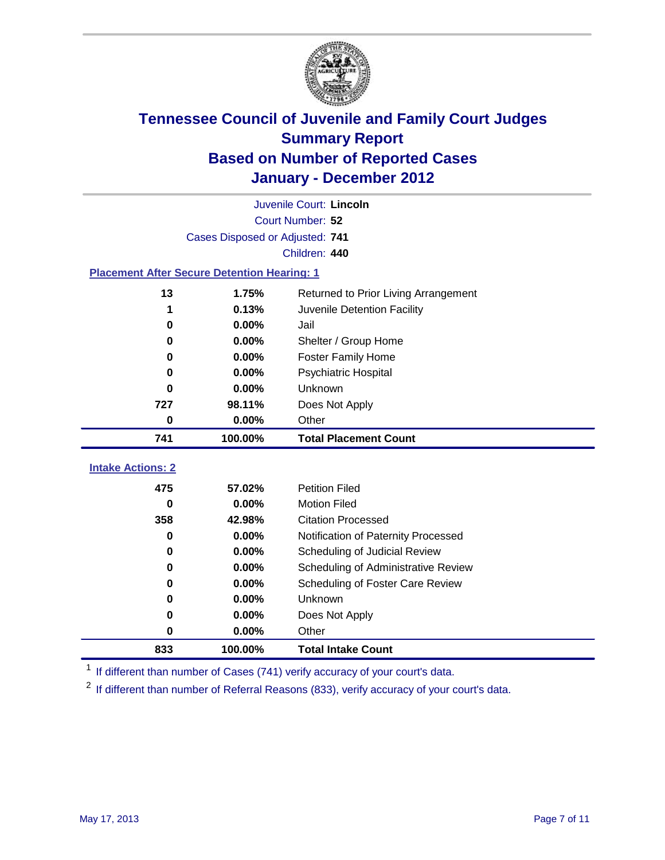

|                                                    |         | Juvenile Court: Lincoln              |  |  |  |
|----------------------------------------------------|---------|--------------------------------------|--|--|--|
| Court Number: 52                                   |         |                                      |  |  |  |
| Cases Disposed or Adjusted: 741                    |         |                                      |  |  |  |
| Children: 440                                      |         |                                      |  |  |  |
| <b>Placement After Secure Detention Hearing: 1</b> |         |                                      |  |  |  |
| 13                                                 | 1.75%   | Returned to Prior Living Arrangement |  |  |  |
| 1                                                  | 0.13%   | Juvenile Detention Facility          |  |  |  |
| 0                                                  | 0.00%   | Jail                                 |  |  |  |
| 0                                                  | 0.00%   | Shelter / Group Home                 |  |  |  |
| 0                                                  | 0.00%   | <b>Foster Family Home</b>            |  |  |  |
| 0                                                  | 0.00%   | Psychiatric Hospital                 |  |  |  |
| 0                                                  | 0.00%   | Unknown                              |  |  |  |
| 727                                                | 98.11%  | Does Not Apply                       |  |  |  |
| 0                                                  | 0.00%   | Other                                |  |  |  |
| 741                                                | 100.00% | <b>Total Placement Count</b>         |  |  |  |
| <b>Intake Actions: 2</b>                           |         |                                      |  |  |  |
|                                                    |         |                                      |  |  |  |
| 475                                                | 57.02%  | <b>Petition Filed</b>                |  |  |  |
| $\bf{0}$                                           | 0.00%   | <b>Motion Filed</b>                  |  |  |  |
| 358                                                | 42.98%  | <b>Citation Processed</b>            |  |  |  |
| 0                                                  | 0.00%   | Notification of Paternity Processed  |  |  |  |
| $\mathbf 0$                                        | 0.00%   | Scheduling of Judicial Review        |  |  |  |
| 0                                                  | 0.00%   | Scheduling of Administrative Review  |  |  |  |
| 0                                                  | 0.00%   | Scheduling of Foster Care Review     |  |  |  |
| 0                                                  | 0.00%   | Unknown                              |  |  |  |
| 0                                                  | 0.00%   | Does Not Apply                       |  |  |  |
| $\pmb{0}$                                          | 0.00%   | Other                                |  |  |  |
| 833                                                | 100.00% | <b>Total Intake Count</b>            |  |  |  |

<sup>1</sup> If different than number of Cases (741) verify accuracy of your court's data.

<sup>2</sup> If different than number of Referral Reasons (833), verify accuracy of your court's data.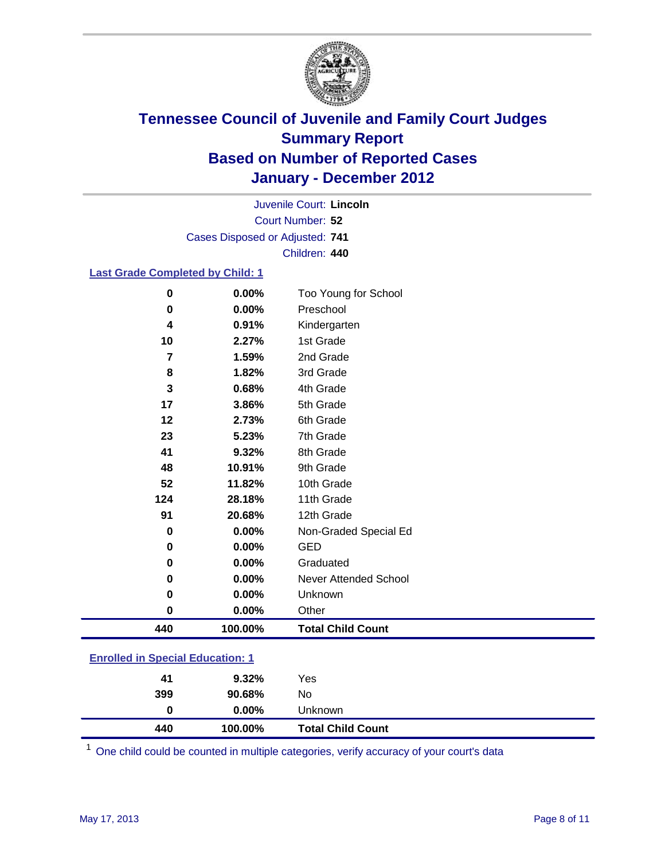

Court Number: **52** Juvenile Court: **Lincoln** Cases Disposed or Adjusted: **741** Children: **440**

#### **Last Grade Completed by Child: 1**

| 440           | 100.00%        | <b>Total Child Count</b>          |
|---------------|----------------|-----------------------------------|
| 0             | 0.00%          | Other                             |
| 0             | 0.00%          | Unknown                           |
| 0             | 0.00%          | <b>Never Attended School</b>      |
| 0             | 0.00%          | Graduated                         |
| 0             | 0.00%          | <b>GED</b>                        |
| 0             | 0.00%          | Non-Graded Special Ed             |
| 91            | 20.68%         | 12th Grade                        |
| 124           | 28.18%         | 11th Grade                        |
| 52            | 11.82%         | 10th Grade                        |
| 48            | 10.91%         | 9th Grade                         |
| 41            | 9.32%          | 8th Grade                         |
| 23            | 5.23%          | 7th Grade                         |
| 12            | 2.73%          | 6th Grade                         |
| 17            | 3.86%          | 5th Grade                         |
| 3             | 0.68%          | 4th Grade                         |
| 8             | 1.82%          | 3rd Grade                         |
| 7             | 1.59%          | 2nd Grade                         |
| 10            | 2.27%          | 1st Grade                         |
| 4             | 0.91%          | Kindergarten                      |
| $\bf{0}$<br>0 | 0.00%<br>0.00% | Too Young for School<br>Preschool |

| <b>Enrolled in Special Education: 1</b> |  |
|-----------------------------------------|--|
|-----------------------------------------|--|

| 440 | 100.00%  | <b>Total Child Count</b> |  |
|-----|----------|--------------------------|--|
| 0   | $0.00\%$ | Unknown                  |  |
| 399 | 90.68%   | No                       |  |
| 41  | $9.32\%$ | Yes                      |  |
|     |          |                          |  |

One child could be counted in multiple categories, verify accuracy of your court's data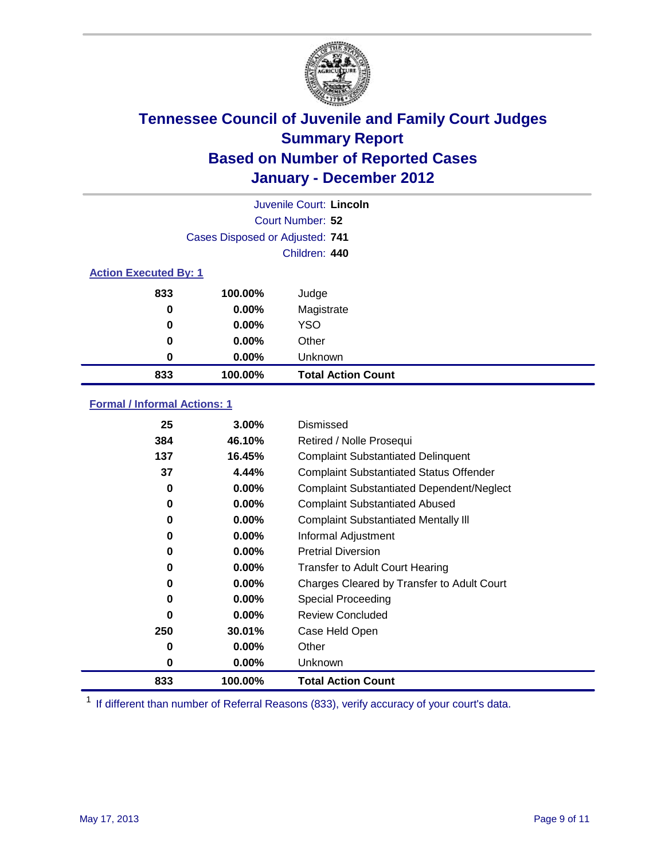

|                              |                                 | Juvenile Court: Lincoln   |
|------------------------------|---------------------------------|---------------------------|
|                              |                                 | Court Number: 52          |
|                              | Cases Disposed or Adjusted: 741 |                           |
|                              |                                 | Children: 440             |
| <b>Action Executed By: 1</b> |                                 |                           |
| 833                          | 100.00%                         | Judge                     |
| 0                            | $0.00\%$                        | Magistrate                |
| 0                            | $0.00\%$                        | <b>YSO</b>                |
| 0                            | 0.00%                           | Other                     |
| 0                            | 0.00%                           | Unknown                   |
| 833                          | 100.00%                         | <b>Total Action Count</b> |

### **Formal / Informal Actions: 1**

| 25  | $3.00\%$  | Dismissed                                        |
|-----|-----------|--------------------------------------------------|
| 384 | 46.10%    | Retired / Nolle Prosequi                         |
| 137 | 16.45%    | <b>Complaint Substantiated Delinquent</b>        |
| 37  | 4.44%     | <b>Complaint Substantiated Status Offender</b>   |
| 0   | 0.00%     | <b>Complaint Substantiated Dependent/Neglect</b> |
| 0   | $0.00\%$  | <b>Complaint Substantiated Abused</b>            |
| 0   | $0.00\%$  | <b>Complaint Substantiated Mentally III</b>      |
| 0   | $0.00\%$  | Informal Adjustment                              |
| 0   | $0.00\%$  | <b>Pretrial Diversion</b>                        |
| 0   | $0.00\%$  | <b>Transfer to Adult Court Hearing</b>           |
| 0   | $0.00\%$  | Charges Cleared by Transfer to Adult Court       |
| 0   | $0.00\%$  | Special Proceeding                               |
| 0   | $0.00\%$  | <b>Review Concluded</b>                          |
| 250 | $30.01\%$ | Case Held Open                                   |
| 0   | $0.00\%$  | Other                                            |
| 0   | $0.00\%$  | Unknown                                          |
| 833 | 100.00%   | <b>Total Action Count</b>                        |

<sup>1</sup> If different than number of Referral Reasons (833), verify accuracy of your court's data.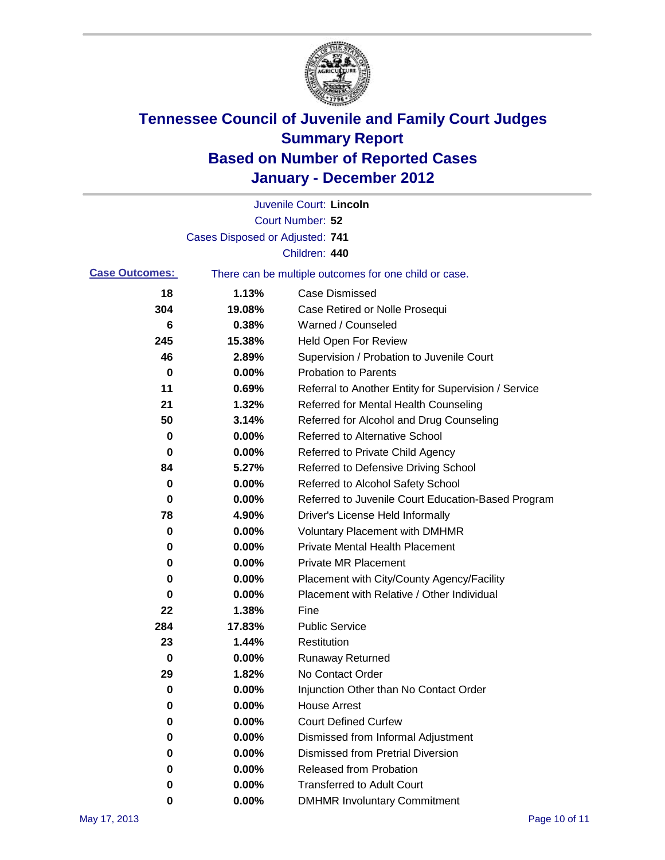

|                       |                                 | Juvenile Court: Lincoln                               |
|-----------------------|---------------------------------|-------------------------------------------------------|
|                       |                                 | Court Number: 52                                      |
|                       | Cases Disposed or Adjusted: 741 |                                                       |
|                       |                                 | Children: 440                                         |
| <b>Case Outcomes:</b> |                                 | There can be multiple outcomes for one child or case. |
| 18                    | 1.13%                           | <b>Case Dismissed</b>                                 |
| 304                   | 19.08%                          | Case Retired or Nolle Prosequi                        |
| 6                     | 0.38%                           | Warned / Counseled                                    |
| 245                   | 15.38%                          | Held Open For Review                                  |
| 46                    | 2.89%                           | Supervision / Probation to Juvenile Court             |
| 0                     | 0.00%                           | <b>Probation to Parents</b>                           |
| 11                    | 0.69%                           | Referral to Another Entity for Supervision / Service  |
| 21                    | 1.32%                           | Referred for Mental Health Counseling                 |
| 50                    | 3.14%                           | Referred for Alcohol and Drug Counseling              |
| 0                     | 0.00%                           | <b>Referred to Alternative School</b>                 |
| 0                     | 0.00%                           | Referred to Private Child Agency                      |
| 84                    | 5.27%                           | Referred to Defensive Driving School                  |
| 0                     | 0.00%                           | Referred to Alcohol Safety School                     |
| 0                     | 0.00%                           | Referred to Juvenile Court Education-Based Program    |
| 78                    | 4.90%                           | Driver's License Held Informally                      |
| 0                     | 0.00%                           | <b>Voluntary Placement with DMHMR</b>                 |
| 0                     | 0.00%                           | <b>Private Mental Health Placement</b>                |
| 0                     | 0.00%                           | <b>Private MR Placement</b>                           |
| 0                     | 0.00%                           | Placement with City/County Agency/Facility            |
| 0                     | 0.00%                           | Placement with Relative / Other Individual            |
| 22                    | 1.38%                           | Fine                                                  |
| 284                   | 17.83%                          | <b>Public Service</b>                                 |
| 23                    | 1.44%                           | Restitution                                           |
| 0                     | 0.00%                           | <b>Runaway Returned</b>                               |
| 29                    | 1.82%                           | No Contact Order                                      |
| 0                     | 0.00%                           | Injunction Other than No Contact Order                |
| 0                     | 0.00%                           | <b>House Arrest</b>                                   |
| 0                     | $0.00\%$                        | <b>Court Defined Curfew</b>                           |
| 0                     | $0.00\%$                        | Dismissed from Informal Adjustment                    |
| 0                     | $0.00\%$                        | <b>Dismissed from Pretrial Diversion</b>              |
| 0                     | 0.00%                           | Released from Probation                               |
| 0                     | $0.00\%$                        | <b>Transferred to Adult Court</b>                     |
| 0                     | 0.00%                           | <b>DMHMR Involuntary Commitment</b>                   |